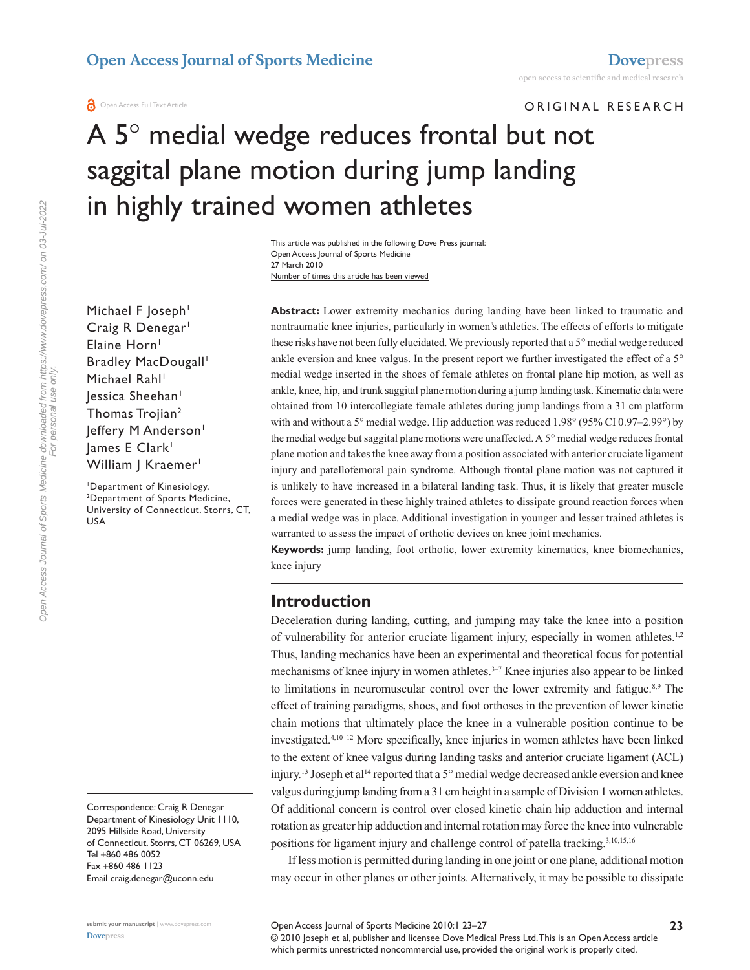**a** Open Access Full Text Article

ORIGINAL RESEARCH

# A 5° medial wedge reduces frontal but not saggital plane motion during jump landing in highly trained women athletes

Number of times this article has been viewed This article was published in the following Dove Press journal: Open Access Journal of Sports Medicine 27 March 2010

Michael F Joseph<sup>1</sup> Craig R Denegar<sup>1</sup> Elaine Horn<sup>1</sup> Bradley MacDougall<sup>1</sup> Michael Rahl<sup>1</sup> lessica Sheehan<sup>1</sup> Thomas Trojian<sup>2</sup> Jeffery M Anderson<sup>1</sup> James E Clark<sup>1</sup> William J Kraemer<sup>1</sup>

1 Department of Kinesiology, 2 Department of Sports Medicine, University of Connecticut, Storrs, CT, USA

> knee injury **Introduction** Deceleration during landing, cutting, and jumping may take the knee into a position of vulnerability for anterior cruciate ligament injury, especially in women athletes.<sup>1,2</sup> Thus, landing mechanics have been an experimental and theoretical focus for potential mechanisms of knee injury in women athletes.<sup>3-7</sup> Knee injuries also appear to be linked to limitations in neuromuscular control over the lower extremity and fatigue. $8.9$  The effect of training paradigms, shoes, and foot orthoses in the prevention of lower kinetic chain motions that ultimately place the knee in a vulnerable position continue to be investigated.4,10–12 More specifically, knee injuries in women athletes have been linked to the extent of knee valgus during landing tasks and anterior cruciate ligament (ACL) injury.<sup>13</sup> Joseph et al<sup>14</sup> reported that a 5° medial wedge decreased ankle eversion and knee valgus during jump landing from a 31 cm height in a sample of Division 1 women athletes. Of additional concern is control over closed kinetic chain hip adduction and internal rotation as greater hip adduction and internal rotation may force the knee into vulnerable positions for ligament injury and challenge control of patella tracking.<sup>3,10,15,16</sup>

**Keywords:** jump landing, foot orthotic, lower extremity kinematics, knee biomechanics,

**Abstract:** Lower extremity mechanics during landing have been linked to traumatic and nontraumatic knee injuries, particularly in women's athletics. The effects of efforts to mitigate these risks have not been fully elucidated. We previously reported that a 5° medial wedge reduced ankle eversion and knee valgus. In the present report we further investigated the effect of a 5° medial wedge inserted in the shoes of female athletes on frontal plane hip motion, as well as ankle, knee, hip, and trunk saggital plane motion during a jump landing task. Kinematic data were obtained from 10 intercollegiate female athletes during jump landings from a 31 cm platform with and without a 5° medial wedge. Hip adduction was reduced 1.98° (95% CI 0.97–2.99°) by the medial wedge but saggital plane motions were unaffected. A 5° medial wedge reduces frontal plane motion and takes the knee away from a position associated with anterior cruciate ligament injury and patellofemoral pain syndrome. Although frontal plane motion was not captured it is unlikely to have increased in a bilateral landing task. Thus, it is likely that greater muscle forces were generated in these highly trained athletes to dissipate ground reaction forces when a medial wedge was in place. Additional investigation in younger and lesser trained athletes is

warranted to assess the impact of orthotic devices on knee joint mechanics.

If less motion is permitted during landing in one joint or one plane, additional motion may occur in other planes or other joints. Alternatively, it may be possible to dissipate

Correspondence: Craig R Denegar Department of Kinesiology Unit 1110, 2095 Hillside Road, University of Connecticut, Storrs, CT 06269, USA Tel +860 486 0052 Fax +860 486 1123 Email craig.denegar@uconn.edu

**[Dovepress](www.dovepress.com)**

© 2010 Joseph et al, publisher and licensee Dove Medical Press Ltd. This is an Open Access article which permits unrestricted noncommercial use, provided the original work is properly cited. Open Access Journal of Sports Medicine 2010:1 23–27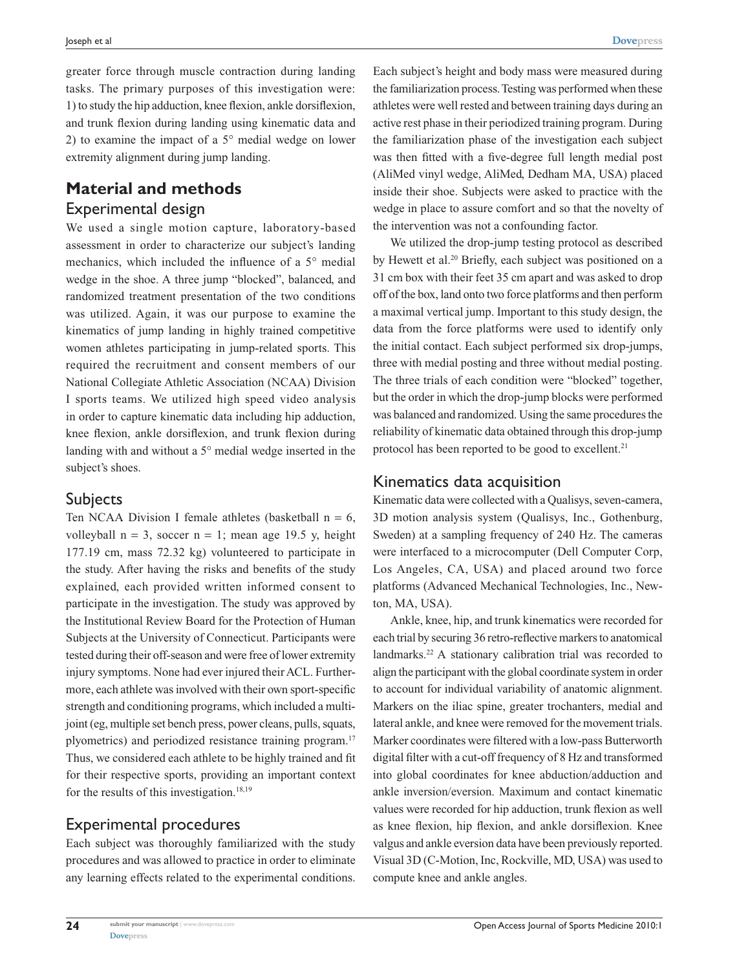greater force through muscle contraction during landing tasks. The primary purposes of this investigation were: 1) to study the hip adduction, knee flexion, ankle dorsiflexion, and trunk flexion during landing using kinematic data and 2) to examine the impact of a 5° medial wedge on lower extremity alignment during jump landing.

# **Material and methods** Experimental design

We used a single motion capture, laboratory-based assessment in order to characterize our subject's landing mechanics, which included the influence of a 5° medial wedge in the shoe. A three jump "blocked", balanced, and randomized treatment presentation of the two conditions was utilized. Again, it was our purpose to examine the kinematics of jump landing in highly trained competitive women athletes participating in jump-related sports. This required the recruitment and consent members of our National Collegiate Athletic Association (NCAA) Division I sports teams. We utilized high speed video analysis in order to capture kinematic data including hip adduction, knee flexion, ankle dorsiflexion, and trunk flexion during landing with and without a 5° medial wedge inserted in the subject's shoes.

#### **Subjects**

Ten NCAA Division I female athletes (basketball  $n = 6$ , volleyball  $n = 3$ , soccer  $n = 1$ ; mean age 19.5 y, height 177.19 cm, mass 72.32 kg) volunteered to participate in the study. After having the risks and benefits of the study explained, each provided written informed consent to participate in the investigation. The study was approved by the Institutional Review Board for the Protection of Human Subjects at the University of Connecticut. Participants were tested during their off-season and were free of lower extremity injury symptoms. None had ever injured their ACL. Furthermore, each athlete was involved with their own sport-specific strength and conditioning programs, which included a multijoint (eg, multiple set bench press, power cleans, pulls, squats, plyometrics) and periodized resistance training program.17 Thus, we considered each athlete to be highly trained and fit for their respective sports, providing an important context for the results of this investigation.<sup>18,19</sup>

#### Experimental procedures

Each subject was thoroughly familiarized with the study procedures and was allowed to practice in order to eliminate any learning effects related to the experimental conditions.

Each subject's height and body mass were measured during the familiarization process. Testing was performed when these athletes were well rested and between training days during an active rest phase in their periodized training program. During the familiarization phase of the investigation each subject was then fitted with a five-degree full length medial post (AliMed vinyl wedge, AliMed, Dedham MA, USA) placed inside their shoe. Subjects were asked to practice with the wedge in place to assure comfort and so that the novelty of the intervention was not a confounding factor.

We utilized the drop-jump testing protocol as described by Hewett et al.<sup>20</sup> Briefly, each subject was positioned on a 31 cm box with their feet 35 cm apart and was asked to drop off of the box, land onto two force platforms and then perform a maximal vertical jump. Important to this study design, the data from the force platforms were used to identify only the initial contact. Each subject performed six drop-jumps, three with medial posting and three without medial posting. The three trials of each condition were "blocked" together, but the order in which the drop-jump blocks were performed was balanced and randomized. Using the same procedures the reliability of kinematic data obtained through this drop-jump protocol has been reported to be good to excellent.<sup>21</sup>

#### Kinematics data acquisition

Kinematic data were collected with a Qualisys, seven-camera, 3D motion analysis system (Qualisys, Inc., Gothenburg, Sweden) at a sampling frequency of 240 Hz. The cameras were interfaced to a microcomputer (Dell Computer Corp, Los Angeles, CA, USA) and placed around two force platforms (Advanced Mechanical Technologies, Inc., Newton, MA, USA).

Ankle, knee, hip, and trunk kinematics were recorded for each trial by securing 36 retro-reflective markers to anatomical landmarks.<sup>22</sup> A stationary calibration trial was recorded to align the participant with the global coordinate system in order to account for individual variability of anatomic alignment. Markers on the iliac spine, greater trochanters, medial and lateral ankle, and knee were removed for the movement trials. Marker coordinates were filtered with a low-pass Butterworth digital filter with a cut-off frequency of 8 Hz and transformed into global coordinates for knee abduction/adduction and ankle inversion/eversion. Maximum and contact kinematic values were recorded for hip adduction, trunk flexion as well as knee flexion, hip flexion, and ankle dorsiflexion. Knee valgus and ankle eversion data have been previously reported. Visual 3D (C-Motion, Inc, Rockville, MD, USA) was used to compute knee and ankle angles.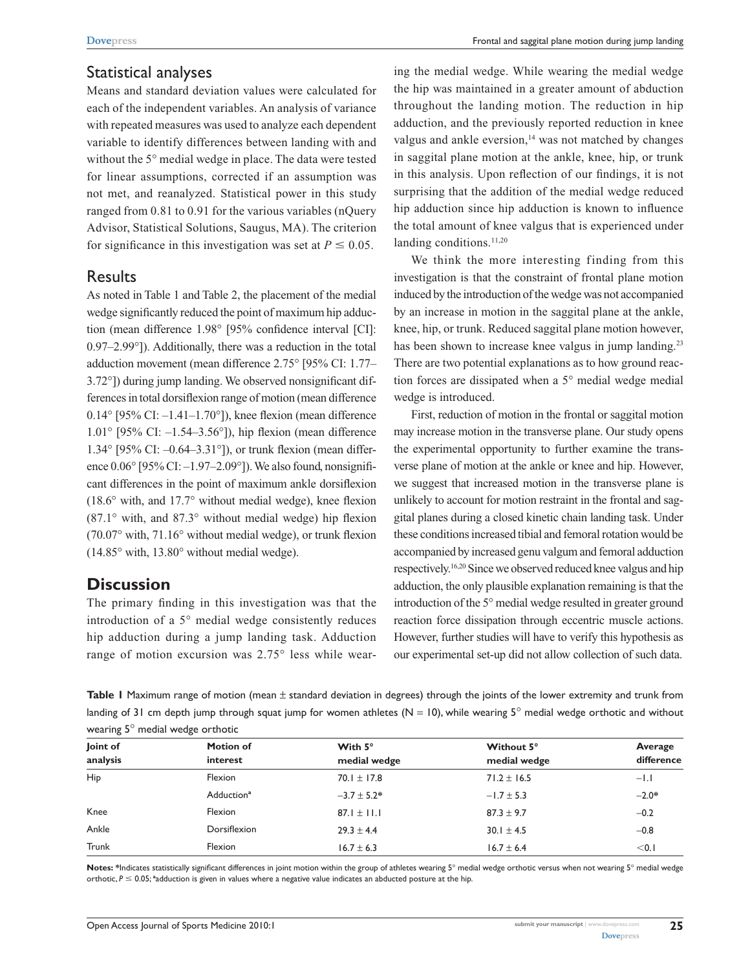## Statistical analyses

Means and standard deviation values were calculated for each of the independent variables. An analysis of variance with repeated measures was used to analyze each dependent variable to identify differences between landing with and without the 5° medial wedge in place. The data were tested for linear assumptions, corrected if an assumption was not met, and reanalyzed. Statistical power in this study ranged from 0.81 to 0.91 for the various variables (nQuery Advisor, Statistical Solutions, Saugus, MA). The criterion for significance in this investigation was set at  $P \leq 0.05$ .

### **Results**

As noted in Table 1 and Table 2, the placement of the medial wedge significantly reduced the point of maximum hip adduction (mean difference 1.98° [95% confidence interval [CI]: 0.97–2.99°]). Additionally, there was a reduction in the total adduction movement (mean difference 2.75° [95% CI: 1.77– 3.72°]) during jump landing. We observed nonsignificant differences in total dorsiflexion range of motion (mean difference  $0.14^{\circ}$  [95% CI:  $-1.41-1.70^{\circ}$ ]), knee flexion (mean difference 1.01° [95% CI: –1.54–3.56°]), hip flexion (mean difference 1.34° [95% CI: –0.64–3.31°]), or trunk flexion (mean difference  $0.06^{\circ}$  [95% CI:  $-1.97-2.09^{\circ}$ ]). We also found, nonsignificant differences in the point of maximum ankle dorsiflexion (18.6° with, and 17.7° without medial wedge), knee flexion (87.1° with, and 87.3° without medial wedge) hip flexion (70.07° with, 71.16° without medial wedge), or trunk flexion (14.85° with, 13.80° without medial wedge).

# **Discussion**

The primary finding in this investigation was that the introduction of a 5° medial wedge consistently reduces hip adduction during a jump landing task. Adduction range of motion excursion was 2.75° less while wearing the medial wedge. While wearing the medial wedge the hip was maintained in a greater amount of abduction throughout the landing motion. The reduction in hip adduction, and the previously reported reduction in knee valgus and ankle eversion,<sup>14</sup> was not matched by changes in saggital plane motion at the ankle, knee, hip, or trunk in this analysis. Upon reflection of our findings, it is not surprising that the addition of the medial wedge reduced hip adduction since hip adduction is known to influence the total amount of knee valgus that is experienced under landing conditions.<sup>11,20</sup>

We think the more interesting finding from this investigation is that the constraint of frontal plane motion induced by the introduction of the wedge was not accompanied by an increase in motion in the saggital plane at the ankle, knee, hip, or trunk. Reduced saggital plane motion however, has been shown to increase knee valgus in jump landing.<sup>23</sup> There are two potential explanations as to how ground reaction forces are dissipated when a 5° medial wedge medial wedge is introduced.

First, reduction of motion in the frontal or saggital motion may increase motion in the transverse plane. Our study opens the experimental opportunity to further examine the transverse plane of motion at the ankle or knee and hip. However, we suggest that increased motion in the transverse plane is unlikely to account for motion restraint in the frontal and saggital planes during a closed kinetic chain landing task. Under these conditions increased tibial and femoral rotation would be accompanied by increased genu valgum and femoral adduction respectively.16,20 Since we observed reduced knee valgus and hip adduction, the only plausible explanation remaining is that the introduction of the 5° medial wedge resulted in greater ground reaction force dissipation through eccentric muscle actions. However, further studies will have to verify this hypothesis as our experimental set-up did not allow collection of such data.

**Table 1** Maximum range of motion (mean ± standard deviation in degrees) through the joints of the lower extremity and trunk from landing of 31 cm depth jump through squat jump for women athletes ( $N = 10$ ), while wearing  $5^\circ$  medial wedge orthotic and without wearing 5° medial wedge orthotic

| Joint of<br>analysis   | <b>Motion of</b><br>interest | With $5^\circ$<br>medial wedge | Without 5°<br>medial wedge | Average<br>difference |     |         |
|------------------------|------------------------------|--------------------------------|----------------------------|-----------------------|-----|---------|
|                        |                              |                                |                            |                       | Hip | Flexion |
| Adduction <sup>a</sup> | $-3.7 \pm 5.2*$              | $-1.7 \pm 5.3$                 | $-2.0*$                    |                       |     |         |
| Knee                   | Flexion                      | $87.1 \pm 11.1$                | $87.3 \pm 9.7$             | $-0.2$                |     |         |
| Ankle                  | Dorsiflexion                 | $29.3 \pm 4.4$                 | $30.1 \pm 4.5$             | $-0.8$                |     |         |
| Trunk                  | Flexion                      | $16.7 \pm 6.3$                 | $16.7 \pm 6.4$             | < 0.1                 |     |         |

Notes: \*Indicates statistically significant differences in joint motion within the group of athletes wearing 5° medial wedge orthotic versus when not wearing 5° medial wedge orthotic,  $P \le 0.05$ ; <sup>a</sup>adduction is given in values where a negative value indicates an abducted posture at the hip.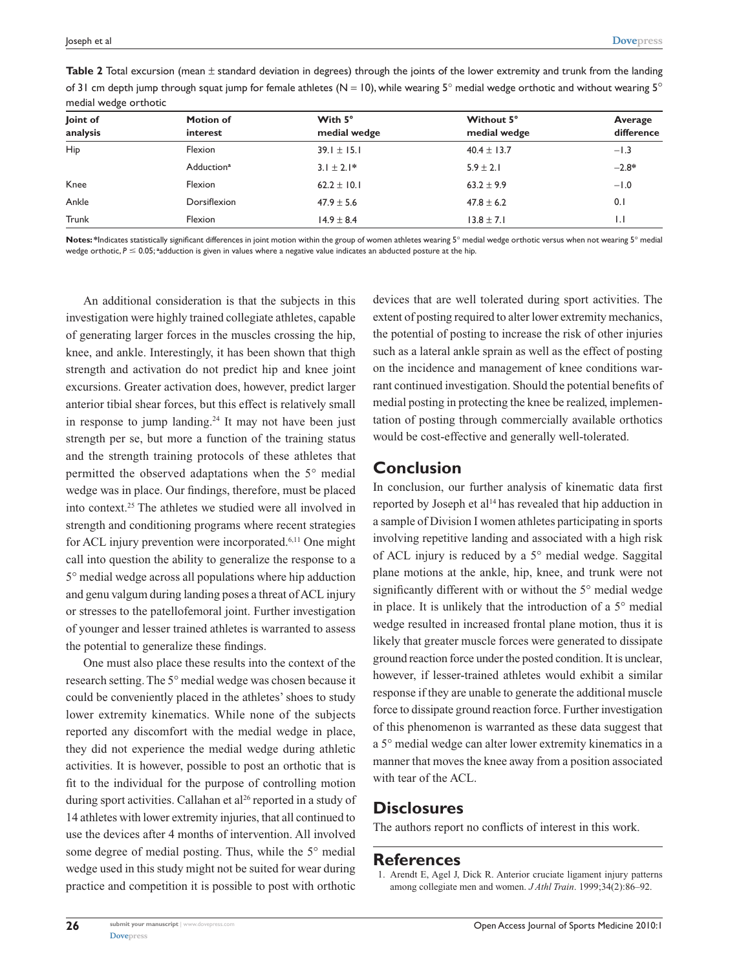| Joint of<br>analysis   | <b>Motion of</b><br>interest | With 5°<br>medial wedge | Without 5°<br>medial wedge | Average<br>difference |     |         |
|------------------------|------------------------------|-------------------------|----------------------------|-----------------------|-----|---------|
|                        |                              |                         |                            |                       | Hip | Flexion |
| Adduction <sup>a</sup> | $3.1 \pm 2.1*$               | $5.9 \pm 2.1$           | $-2.8*$                    |                       |     |         |
| Knee                   | Flexion                      | $62.2 \pm 10.1$         | $63.2 \pm 9.9$             | $-1.0$                |     |         |
| Ankle                  | Dorsiflexion                 | $47.9 \pm 5.6$          | $47.8 \pm 6.2$             | 0.1                   |     |         |
| Trunk                  | Flexion                      | $14.9 \pm 8.4$          | $13.8 \pm 7.1$             | $\mathsf{L}$          |     |         |
|                        |                              |                         |                            |                       |     |         |

**Table 2** Total excursion (mean ± standard deviation in degrees) through the joints of the lower extremity and trunk from the landing of 31 cm depth jump through squat jump for female athletes (N = 10), while wearing  $5^\circ$  medial wedge orthotic and without wearing  $5^\circ$ medial wedge orthotic

**Notes:** \*Indicates statistically significant differences in joint motion within the group of women athletes wearing 5° medial wedge orthotic versus when not wearing 5° medial wedge orthotic,  $P \le 0.05$ ; <sup>a</sup>adduction is given in values where a negative value indicates an abducted posture at the hip.

An additional consideration is that the subjects in this investigation were highly trained collegiate athletes, capable of generating larger forces in the muscles crossing the hip, knee, and ankle. Interestingly, it has been shown that thigh strength and activation do not predict hip and knee joint excursions. Greater activation does, however, predict larger anterior tibial shear forces, but this effect is relatively small in response to jump landing.<sup>24</sup> It may not have been just strength per se, but more a function of the training status and the strength training protocols of these athletes that permitted the observed adaptations when the 5° medial wedge was in place. Our findings, therefore, must be placed into context.25 The athletes we studied were all involved in strength and conditioning programs where recent strategies for ACL injury prevention were incorporated.6,11 One might call into question the ability to generalize the response to a 5° medial wedge across all populations where hip adduction and genu valgum during landing poses a threat of ACL injury or stresses to the patellofemoral joint. Further investigation of younger and lesser trained athletes is warranted to assess the potential to generalize these findings.

One must also place these results into the context of the research setting. The 5° medial wedge was chosen because it could be conveniently placed in the athletes' shoes to study lower extremity kinematics. While none of the subjects reported any discomfort with the medial wedge in place, they did not experience the medial wedge during athletic activities. It is however, possible to post an orthotic that is fit to the individual for the purpose of controlling motion during sport activities. Callahan et al<sup>26</sup> reported in a study of 14 athletes with lower extremity injuries, that all continued to use the devices after 4 months of intervention. All involved some degree of medial posting. Thus, while the 5° medial wedge used in this study might not be suited for wear during practice and competition it is possible to post with orthotic devices that are well tolerated during sport activities. The extent of posting required to alter lower extremity mechanics, the potential of posting to increase the risk of other injuries such as a lateral ankle sprain as well as the effect of posting on the incidence and management of knee conditions warrant continued investigation. Should the potential benefits of medial posting in protecting the knee be realized, implementation of posting through commercially available orthotics would be cost-effective and generally well-tolerated.

#### **Conclusion**

In conclusion, our further analysis of kinematic data first reported by Joseph et al<sup>14</sup> has revealed that hip adduction in a sample of Division I women athletes participating in sports involving repetitive landing and associated with a high risk of ACL injury is reduced by a 5° medial wedge. Saggital plane motions at the ankle, hip, knee, and trunk were not significantly different with or without the 5° medial wedge in place. It is unlikely that the introduction of a 5° medial wedge resulted in increased frontal plane motion, thus it is likely that greater muscle forces were generated to dissipate ground reaction force under the posted condition. It is unclear, however, if lesser-trained athletes would exhibit a similar response if they are unable to generate the additional muscle force to dissipate ground reaction force. Further investigation of this phenomenon is warranted as these data suggest that a 5° medial wedge can alter lower extremity kinematics in a manner that moves the knee away from a position associated with tear of the ACL.

# **Disclosures**

The authors report no conflicts of interest in this work.

# **References**

1. Arendt E, Agel J, Dick R. Anterior cruciate ligament injury patterns among collegiate men and women. *J Athl Train*. 1999;34(2):86–92.